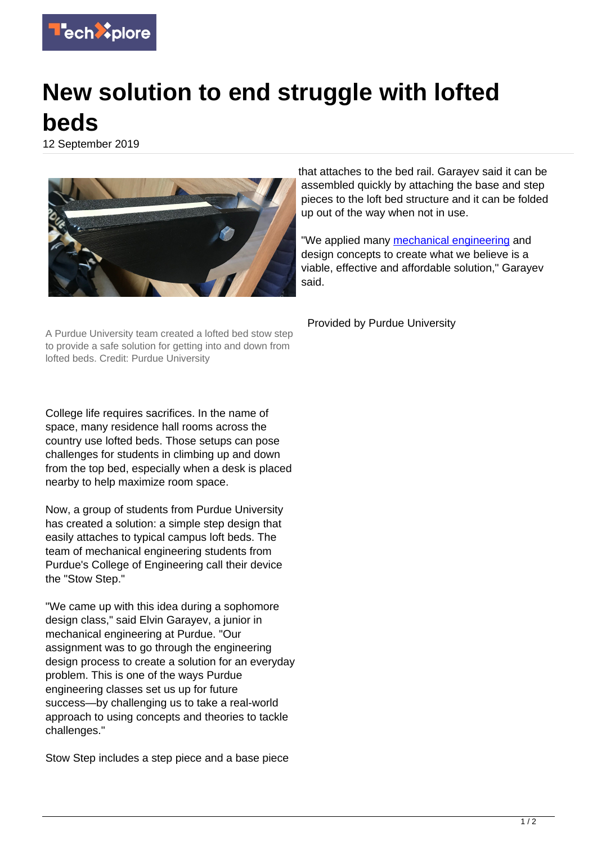

## **New solution to end struggle with lofted beds**

12 September 2019



A Purdue University team created a lofted bed stow step to provide a safe solution for getting into and down from lofted beds. Credit: Purdue University

College life requires sacrifices. In the name of space, many residence hall rooms across the country use lofted beds. Those setups can pose challenges for students in climbing up and down from the top bed, especially when a desk is placed nearby to help maximize room space.

Now, a group of students from Purdue University has created a solution: a simple step design that easily attaches to typical campus loft beds. The team of mechanical engineering students from Purdue's College of Engineering call their device the "Stow Step."

"We came up with this idea during a sophomore design class," said Elvin Garayev, a junior in mechanical engineering at Purdue. "Our assignment was to go through the engineering design process to create a solution for an everyday problem. This is one of the ways Purdue engineering classes set us up for future success—by challenging us to take a real-world approach to using concepts and theories to tackle challenges."

Stow Step includes a step piece and a base piece

that attaches to the bed rail. Garayev said it can be assembled quickly by attaching the base and step pieces to the loft bed structure and it can be folded up out of the way when not in use.

"We applied many [mechanical engineering](https://techxplore.com/tags/mechanical+engineering/) and design concepts to create what we believe is a viable, effective and affordable solution," Garayev said.

Provided by Purdue University